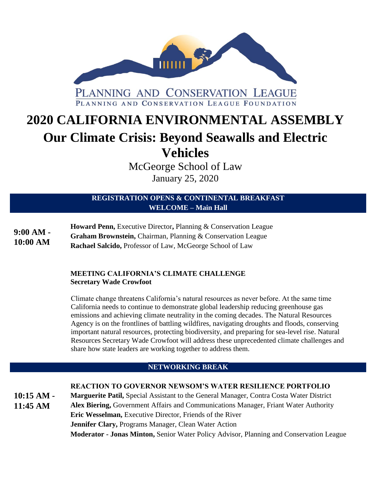

# **2020 CALIFORNIA ENVIRONMENTAL ASSEMBLY Our Climate Crisis: Beyond Seawalls and Electric Vehicles**

McGeorge School of Law

January 25, 2020

# **REGISTRATION OPENS & CONTINENTAL BREAKFAST WELCOME – Main Hall**

**Howard Penn,** Executive Director**,** Planning & Conservation League **Graham Brownstein,** Chairman, Planning & Conservation League **Rachael Salcido,** Professor of Law, McGeorge School of Law **9:00 AM - 10:00 AM**

## **MEETING CALIFORNIA'S CLIMATE CHALLENGE Secretary Wade Crowfoot**

Climate change threatens California's natural resources as never before. At the same time California needs to continue to demonstrate global leadership reducing greenhouse gas emissions and achieving climate neutrality in the coming decades. The Natural Resources Agency is on the frontlines of battling wildfires, navigating droughts and floods, conserving important natural resources, protecting biodiversity, and preparing for sea-level rise. Natural Resources Secretary Wade Crowfoot will address these unprecedented climate challenges and share how state leaders are working together to address them.

# **NETWORKING BREAK**

# **REACTION TO GOVERNOR NEWSOM'S WATER RESILIENCE PORTFOLIO**

**Marguerite Patil,** Special Assistant to the General Manager, Contra Costa Water District **Alex Biering,** Government Affairs and Communications Manager, Friant Water Authority **Eric Wesselman,** Executive Director, Friends of the River **Jennifer Clary,** Programs Manager, Clean Water Action **Moderator - [Jonas Minton,](https://www.pcl.org/?leader=jonas-minton)** Senior Water Policy Advisor, Planning and Conservation League **10:15 AM - 11:45 AM**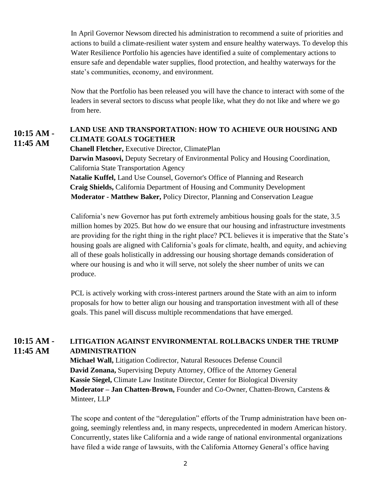In April Governor Newsom directed his administration to recommend a suite of priorities and actions to build a climate-resilient water system and ensure healthy waterways. To develop this Water Resilience Portfolio his agencies have identified a suite of complementary actions to ensure safe and dependable water supplies, flood protection, and healthy waterways for the state's communities, economy, and environment.

Now that the Portfolio has been released you will have the chance to interact with some of the leaders in several sectors to discuss what people like, what they do not like and where we go from here.

#### **LAND USE AND TRANSPORTATION: HOW TO ACHIEVE OUR HOUSING AND CLIMATE GOALS TOGETHER 10:15 AM - 11:45 AM**

**Chanell Fletcher,** Executive Director, ClimatePlan **Darwin Masoovi,** Deputy Secretary of Environmental Policy and Housing Coordination, California State Transportation Agency **Natalie Kuffel,** Land Use Counsel, Governor's Office of Planning and Research **Craig Shields,** California Department of Housing and Community Development **Moderator - Matthew Baker,** Policy Director, Planning and Conservation League

California's new Governor has put forth extremely ambitious housing goals for the state, 3.5 million homes by 2025. But how do we ensure that our housing and infrastructure investments are providing for the right thing in the right place? PCL believes it is imperative that the State's housing goals are aligned with California's goals for climate, health, and equity, and achieving all of these goals holistically in addressing our housing shortage demands consideration of where our housing is and who it will serve, not solely the sheer number of units we can produce.

PCL is actively working with cross-interest partners around the State with an aim to inform proposals for how to better align our housing and transportation investment with all of these goals. This panel will discuss multiple recommendations that have emerged.

#### **LITIGATION AGAINST ENVIRONMENTAL ROLLBACKS UNDER THE TRUMP ADMINISTRATION 10:15 AM - 11:45 AM**

**Michael Wall,** Litigation Codirector, Natural Resouces Defense Council **[David Zonana,](https://www.pcl.org/media/2019/12/DZ-Bio-2019.pdf)** Supervising Deputy Attorney, Office of the Attorney General **Kassie Siegel,** Climate Law Institute Director, Center for Biological Diversity **Moderator – Jan Chatten-Brown,** Founder and Co-Owner, Chatten-Brown, Carstens & Minteer, LLP

The scope and content of the "deregulation" efforts of the Trump administration have been ongoing, seemingly relentless and, in many respects, unprecedented in modern American history. Concurrently, states like California and a wide range of national environmental organizations have filed a wide range of lawsuits, with the California Attorney General's office having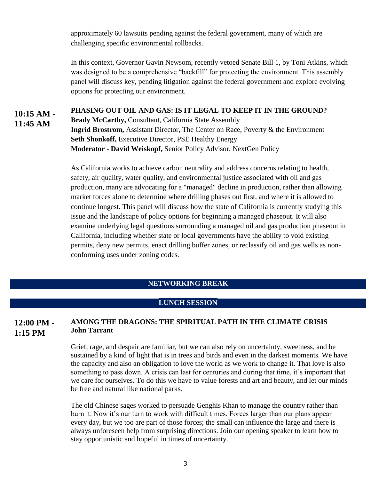approximately 60 lawsuits pending against the federal government, many of which are challenging specific environmental rollbacks.

In this context, Governor Gavin Newsom, recently vetoed Senate Bill 1, by Toni Atkins, which was designed to be a comprehensive "backfill" for protecting the environment. This assembly panel will discuss key, pending litigation against the federal government and explore evolving options for protecting our environment.

### **PHASING OUT OIL AND GAS: IS IT LEGAL TO KEEP IT IN THE GROUND? Brady McCarthy,** Consultant, California State Assembly **Ingrid Brostrom,** Assistant Director, The Center on Race, Poverty & the Environment **Seth Shonkoff,** Executive Director, PSE Healthy Energy **Moderator - David Weiskopf,** Senior Policy Advisor, NextGen Policy **10:15 AM - 11:45 AM**

As California works to achieve carbon neutrality and address concerns relating to health, safety, air quality, water quality, and environmental justice associated with oil and gas production, many are advocating for a "managed" decline in production, rather than allowing market forces alone to determine where drilling phases out first, and where it is allowed to continue longest. This panel will discuss how the state of California is currently studying this issue and the landscape of policy options for beginning a managed phaseout. It will also examine underlying legal questions surrounding a managed oil and gas production phaseout in California, including whether state or local governments have the ability to void existing permits, deny new permits, enact drilling buffer zones, or reclassify oil and gas wells as nonconforming uses under zoning codes.

## **NETWORKING BREAK**

### **LUNCH SESSION**

#### **AMONG THE DRAGONS: THE SPIRITUAL PATH IN THE CLIMATE CRISIS John Tarrant 12:00 PM - 1:15 PM**

Grief, rage, and despair are familiar, but we can also rely on uncertainty, sweetness, and be sustained by a kind of light that is in trees and birds and even in the darkest moments. We have the capacity and also an obligation to love the world as we work to change it. That love is also something to pass down. A crisis can last for centuries and during that time, it's important that we care for ourselves. To do this we have to value forests and art and beauty, and let our minds be free and natural like national parks.

The old Chinese sages worked to persuade Genghis Khan to manage the country rather than burn it. Now it's our turn to work with difficult times. Forces larger than our plans appear every day, but we too are part of those forces; the small can influence the large and there is always unforeseen help from surprising directions. Join our opening speaker to learn how to stay opportunistic and hopeful in times of uncertainty.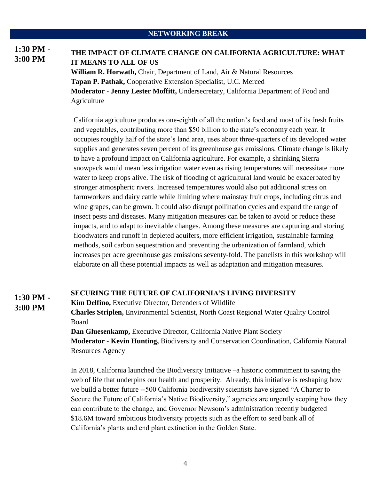### **NETWORKING BREAK**

### **THE IMPACT OF CLIMATE CHANGE ON CALIFORNIA AGRICULTURE: WHAT IT MEANS TO ALL OF US 1:30 PM - 3:00 PM**

**William R. Horwath,** Chair, Department of Land, Air & Natural Resources **Tapan P. Pathak,** Cooperative Extension Specialist, U.C. Merced **Moderator - Jenny Lester Moffitt,** Undersecretary, California Department of Food and Agriculture

California agriculture produces one-eighth of all the nation's food and most of its fresh fruits and vegetables, contributing more than \$50 billion to the state's economy each year. It occupies roughly half of the state's land area, uses about three-quarters of its developed water supplies and generates seven percent of its greenhouse gas emissions. Climate change is likely to have a profound impact on California agriculture. For example, a shrinking Sierra snowpack would mean less irrigation water even as rising temperatures will necessitate more water to keep crops alive. The risk of flooding of agricultural land would be exacerbated by stronger atmospheric rivers. Increased temperatures would also put additional stress on farmworkers and dairy cattle while limiting where mainstay fruit crops, including citrus and wine grapes, can be grown. It could also disrupt pollination cycles and expand the range of insect pests and diseases. Many mitigation measures can be taken to avoid or reduce these impacts, and to adapt to inevitable changes. Among these measures are capturing and storing floodwaters and runoff in depleted aquifers, more efficient irrigation, sustainable farming methods, soil carbon sequestration and preventing the urbanization of farmland, which increases per acre greenhouse gas emissions seventy-fold. The panelists in this workshop will elaborate on all these potential impacts as well as adaptation and mitigation measures.

### **SECURING THE FUTURE OF CALIFORNIA'S LIVING DIVERSITY 1:30 PM -**

**Kim Delfino,** Executive Director, Defenders of Wildlife

**3:00 PM**

**Charles Striplen,** Environmental Scientist, North Coast Regional Water Quality Control Board

**Dan Gluesenkamp,** Executive Director, California Native Plant Society **Moderator - Kevin Hunting,** Biodiversity and Conservation Coordination, California Natural Resources Agency

In 2018, California launched the Biodiversity Initiative –a historic commitment to saving the web of life that underpins our health and prosperity. Already, this initiative is reshaping how we build a better future --500 California biodiversity scientists have signed "A Charter to Secure the Future of California's Native Biodiversity," agencies are urgently scoping how they can contribute to the change, and Governor Newsom's administration recently budgeted \$18.6M toward ambitious biodiversity projects such as the effort to seed bank all of California's plants and end plant extinction in the Golden State.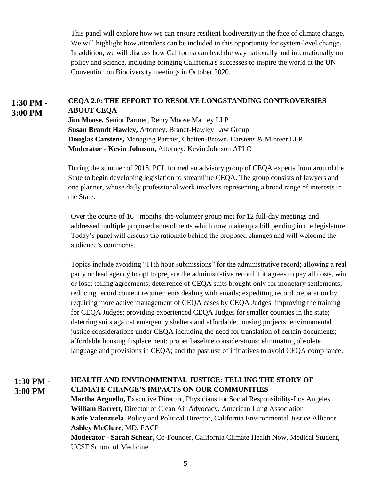This panel will explore how we can ensure resilient biodiversity in the face of climate change. We will highlight how attendees can be included in this opportunity for system-level change. In addition, we will discuss how California can lead the way nationally and internationally on policy and science, including bringing California's successes to inspire the world at the UN Convention on Biodiversity meetings in October 2020.

#### **CEQA 2.0: THE EFFORT TO RESOLVE LONGSTANDING CONTROVERSIES ABOUT CEQA 1:30 PM - 3:00 PM**

**Jim Moose,** Senior Partner, Remy Moose Manley LLP **Susan Brandt Hawley,** Attorney, Brandt-Hawley Law Group **Douglas Carstens,** Managing Partner, Chatten-Brown, Carstens & Minteer LLP **Moderator - Kevin Johnson,** Attorney, Kevin Johnson APLC

During the summer of 2018, PCL formed an advisory group of CEQA experts from around the State to begin developing legislation to streamline CEQA. The group consists of lawyers and one planner, whose daily professional work involves representing a broad range of interests in the State.

Over the course of 16+ months, the volunteer group met for 12 full-day meetings and addressed multiple proposed amendments which now make up a bill pending in the legislature. Today's panel will discuss the rationale behind the proposed changes and will welcome the audience's comments.

 Topics include avoiding "11th hour submissions" for the administrative record; allowing a real party or lead agency to opt to prepare the administrative record if it agrees to pay all costs, win or lose; tolling agreements; deterrence of CEQA suits brought only for monetary settlements; reducing record content requirements dealing with emails; expediting record preparation by requiring more active management of CEQA cases by CEQA Judges; improving the training for CEQA Judges; providing experienced CEQA Judges for smaller counties in the state; deterring suits against emergency shelters and affordable housing projects; environmental justice considerations under CEQA including the need for translation of certain documents; affordable housing displacement; proper baseline considerations; eliminating obsolete language and provisions in CEQA; and the past use of initiatives to avoid CEQA compliance.

#### **HEALTH AND ENVIRONMENTAL JUSTICE: TELLING THE STORY OF CLIMATE CHANGE'S IMPACTS ON OUR COMMUNITIES 1:30 PM - 3:00 PM**

**Martha Arguello,** Executive Director, Physicians for Social Responsibility-Los Angeles **William Barrett,** Director of Clean Air Advocacy, American Lung Association **Katie Valenzuela**, Policy and Political Director, California Environmental Justice Alliance **Ashley McClure**, MD, FACP **Moderator - Sarah Schear,** Co-Founder, California Climate Health Now, Medical Student, UCSF School of Medicine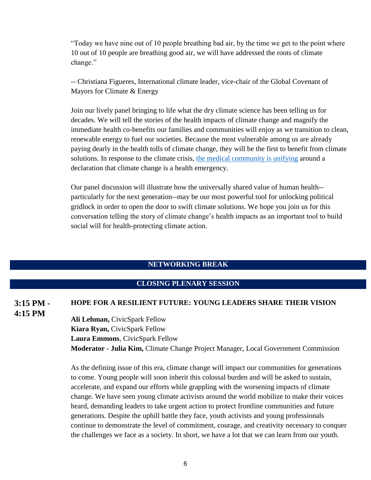"Today we have nine out of 10 people breathing bad air, by the time we get to the point where 10 out of 10 people are breathing good air, we will have addressed the roots of climate change."

-- Christiana Figueres, International climate leader, vice-chair of the Global Covenant of Mayors for Climate & Energy

Join our lively panel bringing to life what the dry climate science has been telling us for decades. We will tell the stories of the health impacts of climate change and magnify the immediate health co-benefits our families and communities will enjoy as we transition to clean, renewable energy to fuel our societies. Because the most vulnerable among us are already paying dearly in the health tolls of climate change, they will be the first to benefit from climate solutions. In response to the climate crisis, [the medical community is unifying](https://climatehealthaction.org/cta/climate-health-equity-policy/) around a declaration that climate change is a health emergency.

Our panel discussion will illustrate how the universally shared value of human health- particularly for the next generation--may be our most powerful tool for unlocking political gridlock in order to open the door to swift climate solutions. We hope you join us for this conversation telling the story of climate change's health impacts as an important tool to build social will for health-protecting climate action.

### **NETWORKING BREAK**

## **CLOSING PLENARY SESSION**

### **HOPE FOR A RESILIENT FUTURE: YOUNG LEADERS SHARE THEIR VISION 3:15 PM - 4:15 PM**

**Ali Lehman,** CivicSpark Fellow **Kiara Ryan,** CivicSpark Fellow **Laura Emmons**, CivicSpark Fellow **Moderator - Julia Kim,** Climate Change Project Manager, Local Government Commission

As the defining issue of this era, climate change will impact our communities for generations to come. Young people will soon inherit this colossal burden and will be asked to sustain, accelerate, and expand our efforts while grappling with the worsening impacts of climate change. We have seen young climate activists around the world mobilize to make their voices heard, demanding leaders to take urgent action to protect frontline communities and future generations. Despite the uphill battle they face, youth activists and young professionals continue to demonstrate the level of commitment, courage, and creativity necessary to conquer the challenges we face as a society. In short, we have a lot that we can learn from our youth.